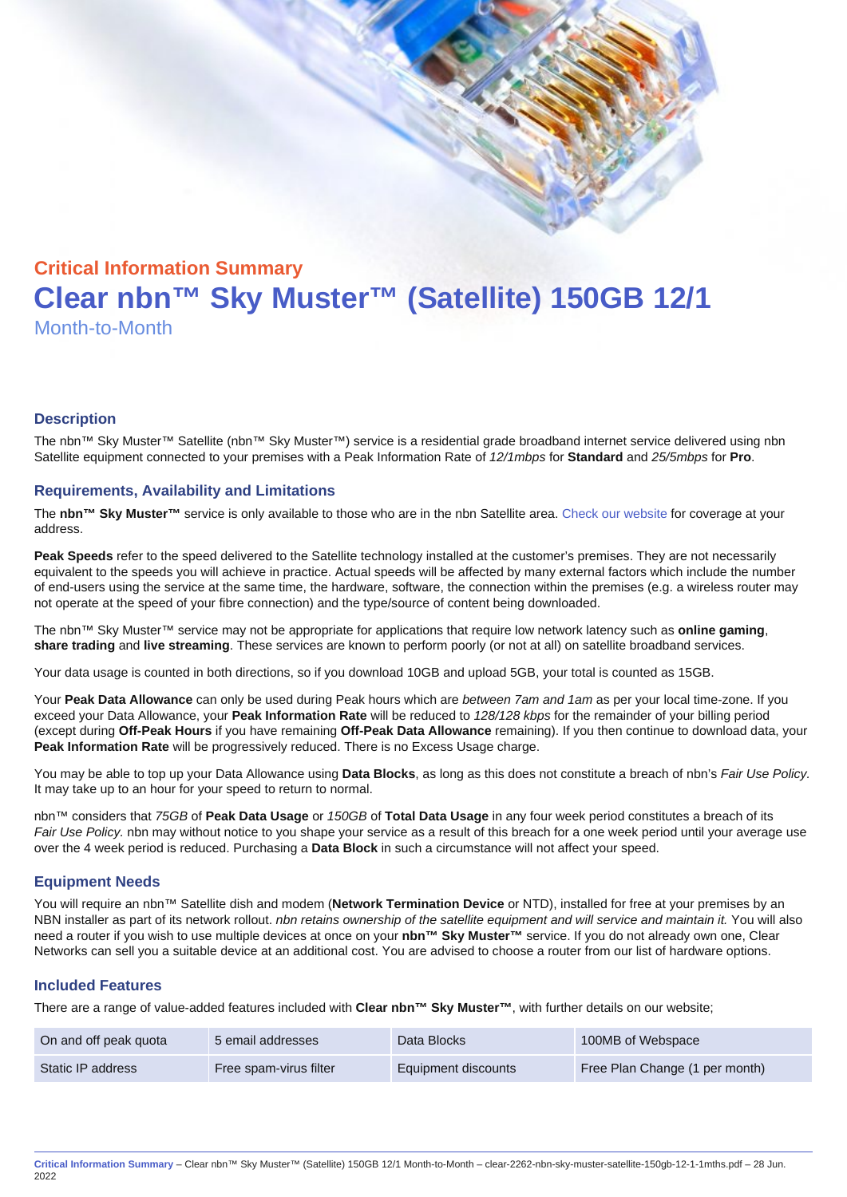# Critical Information Summary Clear nbn™ Sky Muster™ (Satellite) 150GB 12/1 Month-to-Month

#### **Description**

The nbn™ Sky Muster™ Satellite (nbn™ Sky Muster™) service is a residential grade broadband internet service delivered using nbn Satellite equipment connected to your premises with a Peak Information Rate of 12/1mbps for Standard and 25/5mbps for Pro.

#### Requirements, Availability and Limitations

The nbn™ Sky Muster™ service is only available to those who are in the nbn Satellite area. [Check our website](https://www.clear.com.au/corporate-government/nbn-sky-muster/availability-coverage/) for coverage at your address.

Peak Speeds refer to the speed delivered to the Satellite technology installed at the customer's premises. They are not necessarily equivalent to the speeds you will achieve in practice. Actual speeds will be affected by many external factors which include the number of end-users using the service at the same time, the hardware, software, the connection within the premises (e.g. a wireless router may not operate at the speed of your fibre connection) and the type/source of content being downloaded.

The nbn™ Sky Muster™ service may not be appropriate for applications that require low network latency such as online gaming , share trading and live streaming . These services are known to perform poorly (or not at all) on satellite broadband services.

Your data usage is counted in both directions, so if you download 10GB and upload 5GB, your total is counted as 15GB.

Your Peak Data Allowance can only be used during Peak hours which are between 7am and 1am as per your local time-zone. If you exceed your Data Allowance, your Peak Information Rate will be reduced to 128/128 kbps for the remainder of your billing period (except during Off-Peak Hours if you have remaining Off-Peak Data Allowance remaining). If you then continue to download data, your Peak Information Rate will be progressively reduced. There is no Excess Usage charge.

You may be able to top up your Data Allowance using Data Blocks , as long as this does not constitute a breach of nbn's Fair Use Policy. It may take up to an hour for your speed to return to normal.

nbn™ considers that 75GB of Peak Data Usage or 150GB of Total Data Usage in any four week period constitutes a breach of its Fair Use Policy. nbn may without notice to you shape your service as a result of this breach for a one week period until your average use over the 4 week period is reduced. Purchasing a Data Block in such a circumstance will not affect your speed.

#### Equipment Needs

You will require an nbn™ Satellite dish and modem (Network Termination Device or NTD), installed for free at your premises by an NBN installer as part of its network rollout. nbn retains ownership of the satellite equipment and will service and maintain it. You will also need a router if you wish to use multiple devices at once on your nbn™ Sky Muster™ service. If you do not already own one, Clear Networks can sell you a suitable device at an additional cost. You are advised to choose a router from our list of hardware options.

#### Included Features

There are a range of value-added features included with Clear nbn™ Sky Muster™ , with further details on our website;

| On and off peak quota | 5 email addresses      | Data Blocks         | 100MB of Webspace              |
|-----------------------|------------------------|---------------------|--------------------------------|
| Static IP address     | Free spam-virus filter | Equipment discounts | Free Plan Change (1 per month) |

Critical Information Summary – Clear nbn™ Sky Muster™ (Satellite) 150GB 12/1 Month-to-Month – clear-2262-nbn-sky-muster-satellite-150gb-12-1-1mths.pdf – 28 Jun. 2022